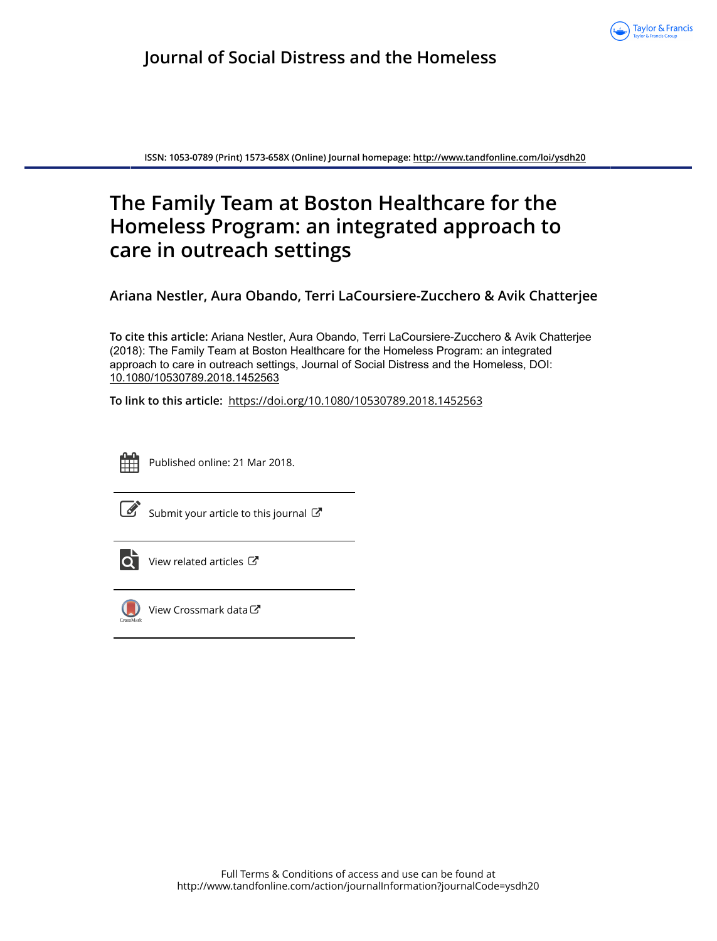

**Journal of Social Distress and the Homeless**

**ISSN: 1053-0789 (Print) 1573-658X (Online) Journal homepage: <http://www.tandfonline.com/loi/ysdh20>**

# **The Family Team at Boston Healthcare for the Homeless Program: an integrated approach to care in outreach settings**

**Ariana Nestler, Aura Obando, Terri LaCoursiere-Zucchero & Avik Chatterjee**

**To cite this article:** Ariana Nestler, Aura Obando, Terri LaCoursiere-Zucchero & Avik Chatterjee (2018): The Family Team at Boston Healthcare for the Homeless Program: an integrated approach to care in outreach settings, Journal of Social Distress and the Homeless, DOI: [10.1080/10530789.2018.1452563](http://www.tandfonline.com/action/showCitFormats?doi=10.1080/10530789.2018.1452563)

**To link to this article:** <https://doi.org/10.1080/10530789.2018.1452563>



Published online: 21 Mar 2018.

[Submit your article to this journal](http://www.tandfonline.com/action/authorSubmission?journalCode=ysdh20&show=instructions)  $\mathbb{Z}$ 



 $\overrightarrow{Q}$  [View related articles](http://www.tandfonline.com/doi/mlt/10.1080/10530789.2018.1452563)  $\overrightarrow{C}$ 



 $\Box$  [View Crossmark data](http://crossmark.crossref.org/dialog/?doi=10.1080/10530789.2018.1452563&domain=pdf&date_stamp=2018-03-21) $\Box$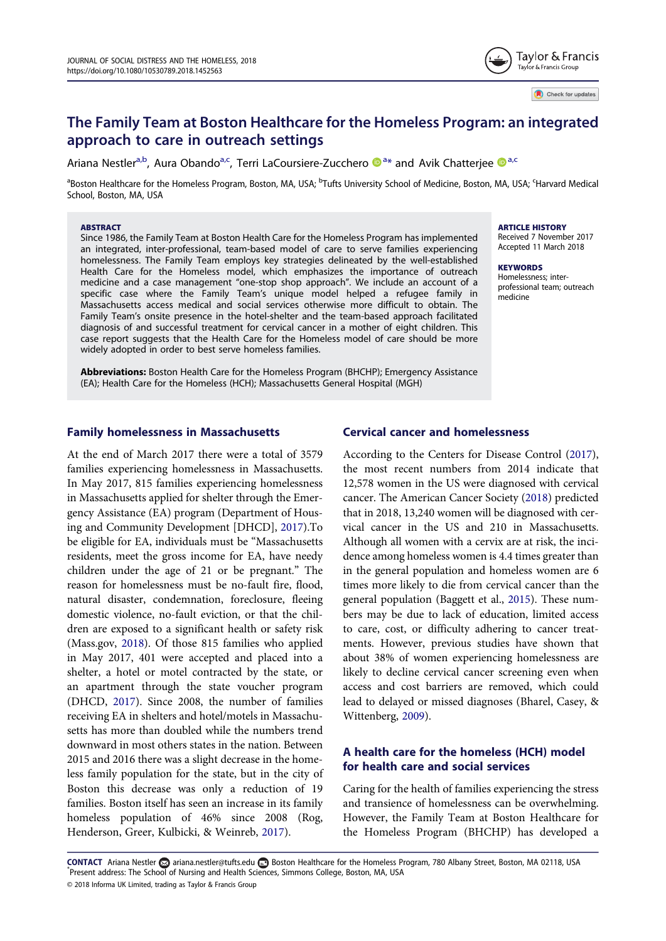# <span id="page-1-0"></span>The Family Team at Boston Healthcare for the Homeless Program: an integrated approach to care in outreach settings

Ariana Nestler<sup>a,b</sup>, Aura Obando<sup>a,c</sup>, Terri LaCoursiere-Zucchero <sup>na\*</sup> and Avik Chatterjee <sup>na,c</sup>

<sup>a</sup>Boston Healthcare for the Homeless Program, Boston, MA, USA; <sup>b</sup>Tufts University School of Medicine, Boston, MA, USA; <sup>c</sup>Harvard Medical School, Boston, MA, USA

#### **ARSTRACT**

Since 1986, the Family Team at Boston Health Care for the Homeless Program has implemented an integrated, inter-professional, team-based model of care to serve families experiencing homelessness. The Family Team employs key strategies delineated by the well-established Health Care for the Homeless model, which emphasizes the importance of outreach medicine and a case management "one-stop shop approach". We include an account of a specific case where the Family Team's unique model helped a refugee family in Massachusetts access medical and social services otherwise more difficult to obtain. The Family Team's onsite presence in the hotel-shelter and the team-based approach facilitated diagnosis of and successful treatment for cervical cancer in a mother of eight children. This case report suggests that the Health Care for the Homeless model of care should be more widely adopted in order to best serve homeless families.

Abbreviations: Boston Health Care for the Homeless Program (BHCHP); Emergency Assistance (EA); Health Care for the Homeless (HCH); Massachusetts General Hospital (MGH)

#### Family homelessness in Massachusetts

At the end of March 2017 there were a total of 3579 families experiencing homelessness in Massachusetts. In May 2017, 815 families experiencing homelessness in Massachusetts applied for shelter through the Emergency Assistance (EA) program (Department of Housing and Community Development [DHCD], [2017](#page-4-0)).To be eligible for EA, individuals must be "Massachusetts residents, meet the gross income for EA, have needy children under the age of 21 or be pregnant." The reason for homelessness must be no-fault fire, flood, natural disaster, condemnation, foreclosure, fleeing domestic violence, no-fault eviction, or that the children are exposed to a significant health or safety risk (Mass.gov, [2018\)](#page-4-0). Of those 815 families who applied in May 2017, 401 were accepted and placed into a shelter, a hotel or motel contracted by the state, or an apartment through the state voucher program (DHCD, [2017](#page-4-0)). Since 2008, the number of families receiving EA in shelters and hotel/motels in Massachusetts has more than doubled while the numbers trend downward in most others states in the nation. Between 2015 and 2016 there was a slight decrease in the homeless family population for the state, but in the city of Boston this decrease was only a reduction of 19 families. Boston itself has seen an increase in its family homeless population of 46% since 2008 (Rog, Henderson, Greer, Kulbicki, & Weinreb, [2017](#page-4-0)).

#### Cervical cancer and homelessness

According to the Centers for Disease Control [\(2017](#page-4-0)), the most recent numbers from 2014 indicate that 12,578 women in the US were diagnosed with cervical cancer. The American Cancer Society ([2018\)](#page-4-0) predicted that in 2018, 13,240 women will be diagnosed with cervical cancer in the US and 210 in Massachusetts. Although all women with a cervix are at risk, the incidence among homeless women is 4.4 times greater than in the general population and homeless women are 6 times more likely to die from cervical cancer than the general population (Baggett et al., [2015](#page-4-0)). These numbers may be due to lack of education, limited access to care, cost, or difficulty adhering to cancer treatments. However, previous studies have shown that about 38% of women experiencing homelessness are likely to decline cervical cancer screening even when access and cost barriers are removed, which could lead to delayed or missed diagnoses (Bharel, Casey, & Wittenberg, [2009\)](#page-4-0).

## A health care for the homeless (HCH) model for health care and social services

Caring for the health of families experiencing the stress and transience of homelessness can be overwhelming. However, the Family Team at Boston Healthcare for the Homeless Program (BHCHP) has developed a

CONTACT Ariana Nestler a [ariana.nestler@tufts.edu](mailto:ariana.nestler@tufts.edu) Boston Healthcare for the Homeless Program, 780 Albany Street, Boston, MA 02118, USA Present address: The School of Nursing and Health Sciences, Simmons College, Boston, MA, USA

**ARTICLE HISTORY** 

Received 7 November 2017 Accepted 11 March 2018

**KEYWORDS** Homelessness; interprofessional team; outreach medicine



Check for updates

<sup>© 2018</sup> Informa UK Limited, trading as Taylor & Francis Group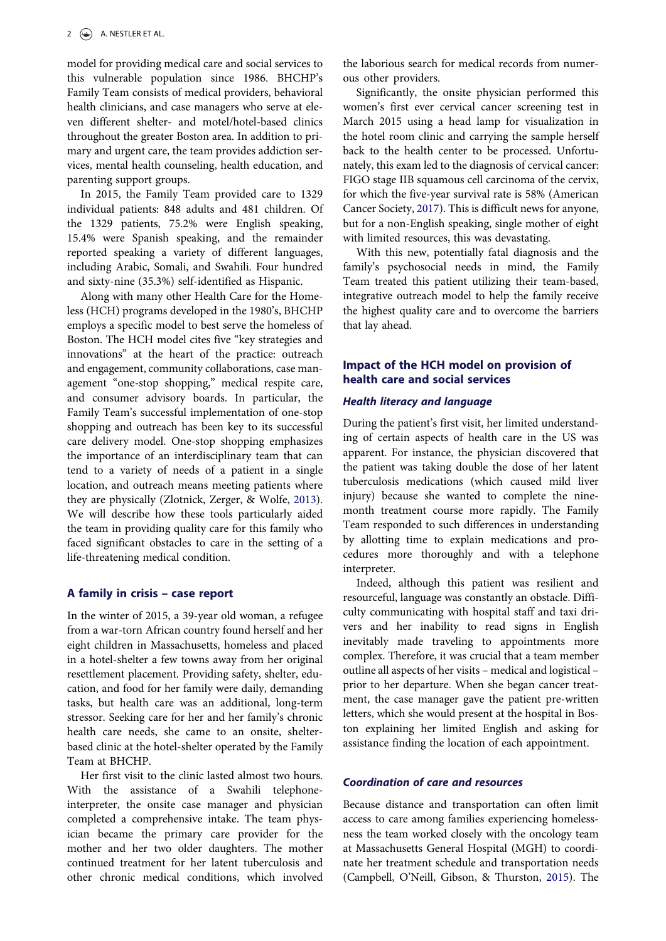<span id="page-2-0"></span>model for providing medical care and social services to this vulnerable population since 1986. BHCHP's Family Team consists of medical providers, behavioral health clinicians, and case managers who serve at eleven different shelter- and motel/hotel-based clinics throughout the greater Boston area. In addition to primary and urgent care, the team provides addiction services, mental health counseling, health education, and parenting support groups.

In 2015, the Family Team provided care to 1329 individual patients: 848 adults and 481 children. Of the 1329 patients, 75.2% were English speaking, 15.4% were Spanish speaking, and the remainder reported speaking a variety of different languages, including Arabic, Somali, and Swahili. Four hundred and sixty-nine (35.3%) self-identified as Hispanic.

Along with many other Health Care for the Homeless (HCH) programs developed in the 1980's, BHCHP employs a specific model to best serve the homeless of Boston. The HCH model cites five "key strategies and innovations" at the heart of the practice: outreach and engagement, community collaborations, case management "one-stop shopping," medical respite care, and consumer advisory boards. In particular, the Family Team's successful implementation of one-stop shopping and outreach has been key to its successful care delivery model. One-stop shopping emphasizes the importance of an interdisciplinary team that can tend to a variety of needs of a patient in a single location, and outreach means meeting patients where they are physically (Zlotnick, Zerger, & Wolfe, [2013\)](#page-4-0). We will describe how these tools particularly aided the team in providing quality care for this family who faced significant obstacles to care in the setting of a life-threatening medical condition.

#### A family in crisis – case report

In the winter of 2015, a 39-year old woman, a refugee from a war-torn African country found herself and her eight children in Massachusetts, homeless and placed in a hotel-shelter a few towns away from her original resettlement placement. Providing safety, shelter, education, and food for her family were daily, demanding tasks, but health care was an additional, long-term stressor. Seeking care for her and her family's chronic health care needs, she came to an onsite, shelterbased clinic at the hotel-shelter operated by the Family Team at BHCHP.

Her first visit to the clinic lasted almost two hours. With the assistance of a Swahili telephoneinterpreter, the onsite case manager and physician completed a comprehensive intake. The team physician became the primary care provider for the mother and her two older daughters. The mother continued treatment for her latent tuberculosis and other chronic medical conditions, which involved

the laborious search for medical records from numerous other providers.

Significantly, the onsite physician performed this women's first ever cervical cancer screening test in March 2015 using a head lamp for visualization in the hotel room clinic and carrying the sample herself back to the health center to be processed. Unfortunately, this exam led to the diagnosis of cervical cancer: FIGO stage IIB squamous cell carcinoma of the cervix, for which the five-year survival rate is 58% (American Cancer Society, [2017\)](#page-4-0). This is difficult news for anyone, but for a non-English speaking, single mother of eight with limited resources, this was devastating.

With this new, potentially fatal diagnosis and the family's psychosocial needs in mind, the Family Team treated this patient utilizing their team-based, integrative outreach model to help the family receive the highest quality care and to overcome the barriers that lay ahead.

## Impact of the HCH model on provision of health care and social services

#### Health literacy and language

During the patient's first visit, her limited understanding of certain aspects of health care in the US was apparent. For instance, the physician discovered that the patient was taking double the dose of her latent tuberculosis medications (which caused mild liver injury) because she wanted to complete the ninemonth treatment course more rapidly. The Family Team responded to such differences in understanding by allotting time to explain medications and procedures more thoroughly and with a telephone interpreter.

Indeed, although this patient was resilient and resourceful, language was constantly an obstacle. Difficulty communicating with hospital staff and taxi drivers and her inability to read signs in English inevitably made traveling to appointments more complex. Therefore, it was crucial that a team member outline all aspects of her visits – medical and logistical – prior to her departure. When she began cancer treatment, the case manager gave the patient pre-written letters, which she would present at the hospital in Boston explaining her limited English and asking for assistance finding the location of each appointment.

#### Coordination of care and resources

Because distance and transportation can often limit access to care among families experiencing homelessness the team worked closely with the oncology team at Massachusetts General Hospital (MGH) to coordinate her treatment schedule and transportation needs (Campbell, O'Neill, Gibson, & Thurston, [2015\)](#page-4-0). The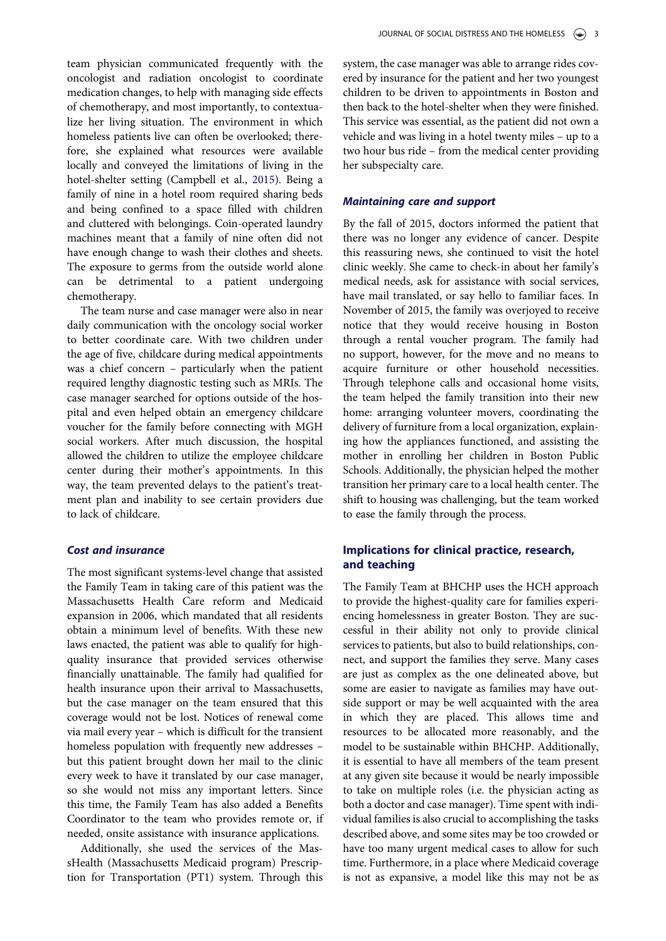team physician communicated frequently with the oncologist and radiation oncologist to coordinate medication changes, to help with managing side effects of chemotherapy, and most importantly, to contextualize her living situation. The environment in which homeless patients live can often be overlooked; therefore, she explained what resources were available locally and conveyed the limitations of living in the hotel-shelter setting (Campbell et al., [2015\)](#page-4-0). Being a family of nine in a hotel room required sharing beds and being confined to a space filled with children and cluttered with belongings. Coin-operated laundry machines meant that a family of nine often did not have enough change to wash their clothes and sheets. The exposure to germs from the outside world alone can be detrimental to a patient undergoing chemotherapy.

The team nurse and case manager were also in near daily communication with the oncology social worker to better coordinate care. With two children under the age of five, childcare during medical appointments was a chief concern – particularly when the patient required lengthy diagnostic testing such as MRIs. The case manager searched for options outside of the hospital and even helped obtain an emergency childcare voucher for the family before connecting with MGH social workers. After much discussion, the hospital allowed the children to utilize the employee childcare center during their mother's appointments. In this way, the team prevented delays to the patient's treatment plan and inability to see certain providers due to lack of childcare.

#### Cost and insurance

The most significant systems-level change that assisted the Family Team in taking care of this patient was the Massachusetts Health Care reform and Medicaid expansion in 2006, which mandated that all residents obtain a minimum level of benefits. With these new laws enacted, the patient was able to qualify for highquality insurance that provided services otherwise financially unattainable. The family had qualified for health insurance upon their arrival to Massachusetts, but the case manager on the team ensured that this coverage would not be lost. Notices of renewal come via mail every year – which is difficult for the transient homeless population with frequently new addresses – but this patient brought down her mail to the clinic every week to have it translated by our case manager, so she would not miss any important letters. Since this time, the Family Team has also added a Benefits Coordinator to the team who provides remote or, if needed, onsite assistance with insurance applications.

Additionally, she used the services of the MassHealth (Massachusetts Medicaid program) Prescription for Transportation (PT1) system. Through this

system, the case manager was able to arrange rides covered by insurance for the patient and her two youngest children to be driven to appointments in Boston and then back to the hotel-shelter when they were finished. This service was essential, as the patient did not own a vehicle and was living in a hotel twenty miles – up to a two hour bus ride – from the medical center providing her subspecialty care.

# Maintaining care and support

By the fall of 2015, doctors informed the patient that there was no longer any evidence of cancer. Despite this reassuring news, she continued to visit the hotel clinic weekly. She came to check-in about her family's medical needs, ask for assistance with social services, have mail translated, or say hello to familiar faces. In November of 2015, the family was overjoyed to receive notice that they would receive housing in Boston through a rental voucher program. The family had no support, however, for the move and no means to acquire furniture or other household necessities. Through telephone calls and occasional home visits, the team helped the family transition into their new home: arranging volunteer movers, coordinating the delivery of furniture from a local organization, explaining how the appliances functioned, and assisting the mother in enrolling her children in Boston Public Schools. Additionally, the physician helped the mother transition her primary care to a local health center. The shift to housing was challenging, but the team worked to ease the family through the process.

# Implications for clinical practice, research, and teaching

The Family Team at BHCHP uses the HCH approach to provide the highest-quality care for families experiencing homelessness in greater Boston. They are successful in their ability not only to provide clinical services to patients, but also to build relationships, connect, and support the families they serve. Many cases are just as complex as the one delineated above, but some are easier to navigate as families may have outside support or may be well acquainted with the area in which they are placed. This allows time and resources to be allocated more reasonably, and the model to be sustainable within BHCHP. Additionally, it is essential to have all members of the team present at any given site because it would be nearly impossible to take on multiple roles (i.e. the physician acting as both a doctor and case manager). Time spent with individual families is also crucial to accomplishing the tasks described above, and some sites may be too crowded or have too many urgent medical cases to allow for such time. Furthermore, in a place where Medicaid coverage is not as expansive, a model like this may not be as